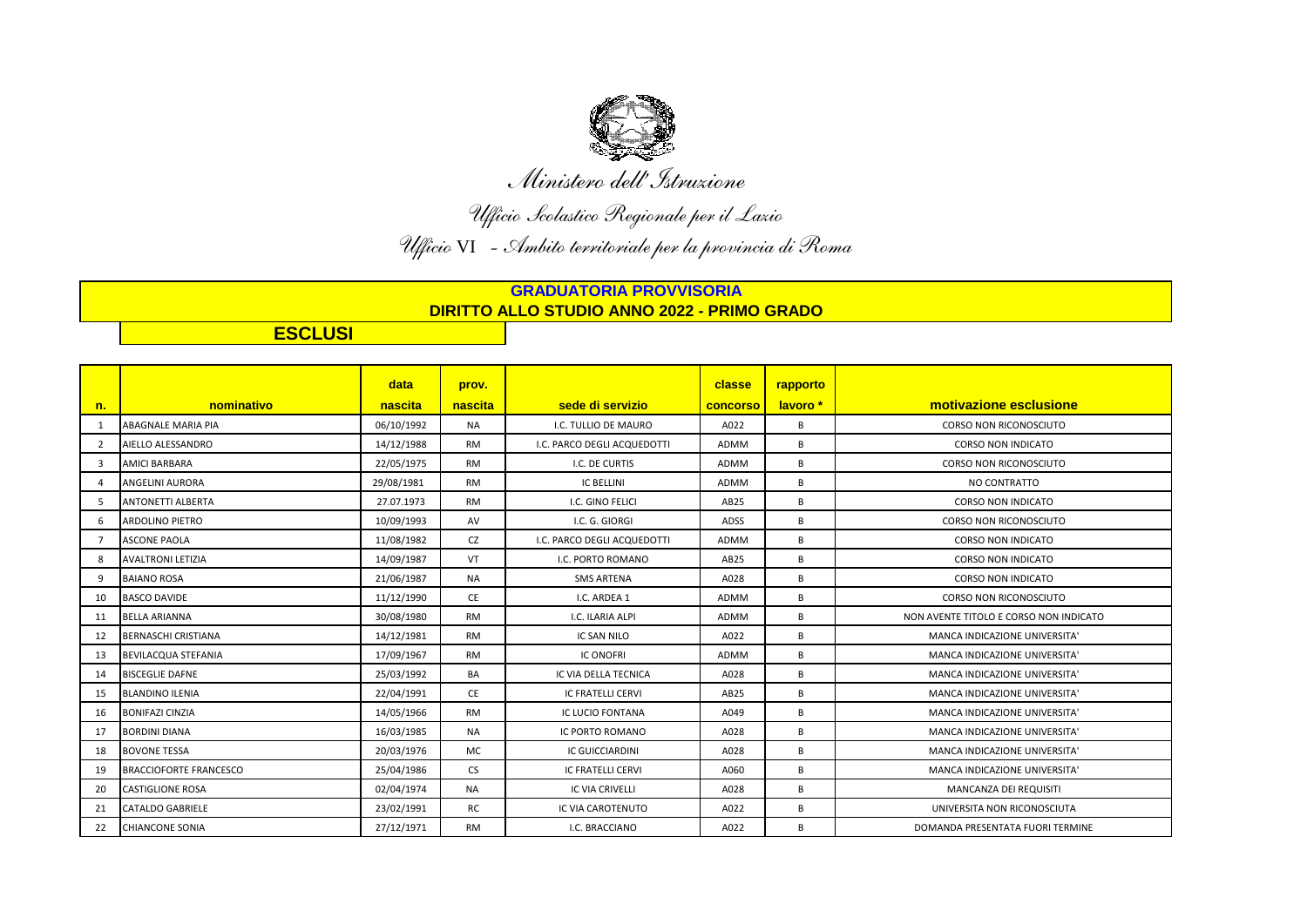

*Ministero dell'Istruzione*

*Ufficio Scolastico Regionale per il Lazio Ufficio* VI *- Ambito territoriale per la provincia di Roma* 

**GRADUATORIA PROVVISORIA DIRITTO ALLO STUDIO ANNO 2022 - PRIMO GRADO**

**ESCLUSI**

|                |                               | data       | prov.     |                             | classe      | rapporto |                                        |
|----------------|-------------------------------|------------|-----------|-----------------------------|-------------|----------|----------------------------------------|
| n.             | nominativo                    | nascita    | nascita   | sede di servizio            | concorso    | lavoro * | motivazione esclusione                 |
| 1              | ABAGNALE MARIA PIA            | 06/10/1992 | <b>NA</b> | I.C. TULLIO DE MAURO        | A022        | B        | <b>CORSO NON RICONOSCIUTO</b>          |
| $\overline{2}$ | AIELLO ALESSANDRO             | 14/12/1988 | <b>RM</b> | I.C. PARCO DEGLI ACQUEDOTTI | <b>ADMM</b> | B        | <b>CORSO NON INDICATO</b>              |
| 3              | AMICI BARBARA                 | 22/05/1975 | <b>RM</b> | I.C. DE CURTIS              | ADMM        | В        | CORSO NON RICONOSCIUTO                 |
| $\overline{4}$ | ANGELINI AURORA               | 29/08/1981 | <b>RM</b> | <b>IC BELLINI</b>           | ADMM        | В        | NO CONTRATTO                           |
| 5              | <b>ANTONETTI ALBERTA</b>      | 27.07.1973 | <b>RM</b> | I.C. GINO FELICI            | AB25        | B        | <b>CORSO NON INDICATO</b>              |
| 6              | <b>ARDOLINO PIETRO</b>        | 10/09/1993 | AV        | I.C. G. GIORGI              | ADSS        | B        | <b>CORSO NON RICONOSCIUTO</b>          |
| $\overline{7}$ | <b>ASCONE PAOLA</b>           | 11/08/1982 | CZ        | I.C. PARCO DEGLI ACQUEDOTTI | <b>ADMM</b> | B        | <b>CORSO NON INDICATO</b>              |
| 8              | <b>AVALTRONI LETIZIA</b>      | 14/09/1987 | VT        | I.C. PORTO ROMANO           | AB25        | B        | <b>CORSO NON INDICATO</b>              |
| 9              | <b>BAIANO ROSA</b>            | 21/06/1987 | <b>NA</b> | <b>SMS ARTENA</b>           | A028        | B        | <b>CORSO NON INDICATO</b>              |
| 10             | <b>BASCO DAVIDE</b>           | 11/12/1990 | <b>CE</b> | I.C. ARDEA 1                | ADMM        | B        | <b>CORSO NON RICONOSCIUTO</b>          |
| 11             | <b>BELLA ARIANNA</b>          | 30/08/1980 | <b>RM</b> | I.C. ILARIA ALPI            | ADMM        | B        | NON AVENTE TITOLO E CORSO NON INDICATO |
| 12             | <b>BERNASCHI CRISTIANA</b>    | 14/12/1981 | <b>RM</b> | IC SAN NILO                 | A022        | B        | MANCA INDICAZIONE UNIVERSITA'          |
| 13             | BEVILACQUA STEFANIA           | 17/09/1967 | <b>RM</b> | <b>IC ONOFRI</b>            | ADMM        | В        | MANCA INDICAZIONE UNIVERSITA'          |
| 14             | <b>BISCEGLIE DAFNE</b>        | 25/03/1992 | <b>BA</b> | IC VIA DELLA TECNICA        | A028        | B        | MANCA INDICAZIONE UNIVERSITA'          |
| 15             | <b>BLANDINO ILENIA</b>        | 22/04/1991 | <b>CE</b> | <b>IC FRATELLI CERVI</b>    | AB25        | В        | MANCA INDICAZIONE UNIVERSITA'          |
| 16             | <b>BONIFAZI CINZIA</b>        | 14/05/1966 | <b>RM</b> | <b>IC LUCIO FONTANA</b>     | A049        | B        | MANCA INDICAZIONE UNIVERSITA'          |
| 17             | <b>BORDINI DIANA</b>          | 16/03/1985 | <b>NA</b> | IC PORTO ROMANO             | A028        | B        | MANCA INDICAZIONE UNIVERSITA'          |
| 18             | <b>BOVONE TESSA</b>           | 20/03/1976 | <b>MC</b> | <b>IC GUICCIARDINI</b>      | A028        | B        | MANCA INDICAZIONE UNIVERSITA'          |
| 19             | <b>BRACCIOFORTE FRANCESCO</b> | 25/04/1986 | <b>CS</b> | <b>IC FRATELLI CERVI</b>    | A060        | B        | MANCA INDICAZIONE UNIVERSITA'          |
| 20             | <b>CASTIGLIONE ROSA</b>       | 02/04/1974 | <b>NA</b> | <b>IC VIA CRIVELLI</b>      | A028        | B        | MANCANZA DEI REQUISITI                 |
| 21             | <b>CATALDO GABRIELE</b>       | 23/02/1991 | RC        | IC VIA CAROTENUTO           | A022        | B        | UNIVERSITA NON RICONOSCIUTA            |
| 22             | <b>CHIANCONE SONIA</b>        | 27/12/1971 | <b>RM</b> | I.C. BRACCIANO              | A022        | B        | DOMANDA PRESENTATA FUORI TERMINE       |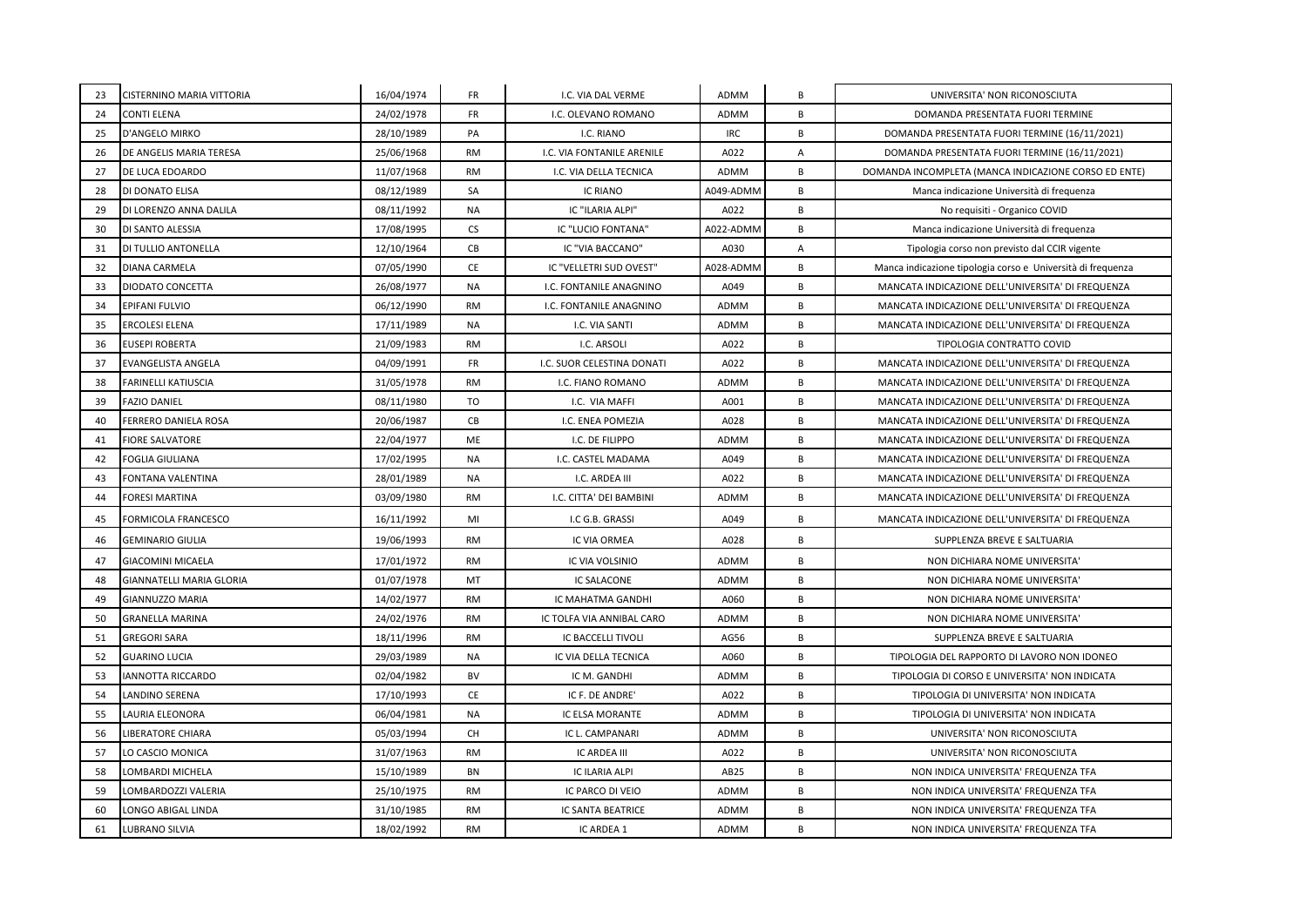| 23 | CISTERNINO MARIA VITTORIA       | 16/04/1974 | <b>FR</b> | I.C. VIA DAL VERME         | ADMM       | В              | UNIVERSITA' NON RICONOSCIUTA                                |
|----|---------------------------------|------------|-----------|----------------------------|------------|----------------|-------------------------------------------------------------|
| 24 | CONTI ELENA                     | 24/02/1978 | <b>FR</b> | I.C. OLEVANO ROMANO        | ADMM       | B              | DOMANDA PRESENTATA FUORI TERMINE                            |
| 25 | D'ANGELO MIRKO                  | 28/10/1989 | PA        | I.C. RIANO                 | <b>IRC</b> | B              | DOMANDA PRESENTATA FUORI TERMINE (16/11/2021)               |
| 26 | DE ANGELIS MARIA TERESA         | 25/06/1968 | <b>RM</b> | I.C. VIA FONTANILE ARENILE | A022       | $\overline{A}$ | DOMANDA PRESENTATA FUORI TERMINE (16/11/2021)               |
| 27 | DE LUCA EDOARDO                 | 11/07/1968 | <b>RM</b> | I.C. VIA DELLA TECNICA     | ADMM       | B              | DOMANDA INCOMPLETA (MANCA INDICAZIONE CORSO ED ENTE)        |
| 28 | DI DONATO ELISA                 | 08/12/1989 | SA        | <b>IC RIANO</b>            | A049-ADMM  | B              | Manca indicazione Università di frequenza                   |
| 29 | DI LORENZO ANNA DALILA          | 08/11/1992 | NA        | IC "ILARIA ALPI"           | A022       | B              | No requisiti - Organico COVID                               |
| 30 | <b>DI SANTO ALESSIA</b>         | 17/08/1995 | <b>CS</b> | IC "LUCIO FONTANA"         | A022-ADMM  | B              | Manca indicazione Università di frequenza                   |
| 31 | DI TULLIO ANTONELLA             | 12/10/1964 | CB        | IC "VIA BACCANO"           | A030       | Α              | Tipologia corso non previsto dal CCIR vigente               |
| 32 | <b>DIANA CARMELA</b>            | 07/05/1990 | CE        | IC "VELLETRI SUD OVEST"    | A028-ADMM  | B              | Manca indicazione tipologia corso e Università di frequenza |
| 33 | <b>DIODATO CONCETTA</b>         | 26/08/1977 | <b>NA</b> | I.C. FONTANILE ANAGNINO    | A049       | B              | MANCATA INDICAZIONE DELL'UNIVERSITA' DI FREQUENZA           |
| 34 | EPIFANI FULVIO                  | 06/12/1990 | <b>RM</b> | I.C. FONTANILE ANAGNINO    | ADMM       | B              | MANCATA INDICAZIONE DELL'UNIVERSITA' DI FREQUENZA           |
| 35 | <b>ERCOLESI ELENA</b>           | 17/11/1989 | <b>NA</b> | I.C. VIA SANTI             | ADMM       | B              | MANCATA INDICAZIONE DELL'UNIVERSITA' DI FREQUENZA           |
| 36 | <b>EUSEPI ROBERTA</b>           | 21/09/1983 | <b>RM</b> | I.C. ARSOLI                | A022       | B              | TIPOLOGIA CONTRATTO COVID                                   |
| 37 | <b>EVANGELISTA ANGELA</b>       | 04/09/1991 | <b>FR</b> | I.C. SUOR CELESTINA DONATI | A022       | B              | MANCATA INDICAZIONE DELL'UNIVERSITA' DI FREQUENZA           |
| 38 | FARINELLI KATIUSCIA             | 31/05/1978 | <b>RM</b> | I.C. FIANO ROMANO          | ADMM       | B              | MANCATA INDICAZIONE DELL'UNIVERSITA' DI FREQUENZA           |
| 39 | <b>FAZIO DANIEL</b>             | 08/11/1980 | <b>TO</b> | I.C. VIA MAFFI             | A001       | B              | MANCATA INDICAZIONE DELL'UNIVERSITA' DI FREQUENZA           |
| 40 | FERRERO DANIELA ROSA            | 20/06/1987 | CB        | I.C. ENEA POMEZIA          | A028       | B              | MANCATA INDICAZIONE DELL'UNIVERSITA' DI FREQUENZA           |
| 41 | <b>FIORE SALVATORE</b>          | 22/04/1977 | ME        | I.C. DE FILIPPO            | ADMM       | B              | MANCATA INDICAZIONE DELL'UNIVERSITA' DI FREQUENZA           |
| 42 | <b>FOGLIA GIULIANA</b>          | 17/02/1995 | NA        | I.C. CASTEL MADAMA         | A049       | B              | MANCATA INDICAZIONE DELL'UNIVERSITA' DI FREQUENZA           |
| 43 | FONTANA VALENTINA               | 28/01/1989 | <b>NA</b> | I.C. ARDEA III             | A022       | B              | MANCATA INDICAZIONE DELL'UNIVERSITA' DI FREQUENZA           |
| 44 | FORESI MARTINA                  | 03/09/1980 | <b>RM</b> | I.C. CITTA' DEI BAMBINI    | ADMM       | B              | MANCATA INDICAZIONE DELL'UNIVERSITA' DI FREQUENZA           |
| 45 | FORMICOLA FRANCESCO             | 16/11/1992 | MI        | I.C G.B. GRASSI            | A049       | B              | MANCATA INDICAZIONE DELL'UNIVERSITA' DI FREQUENZA           |
| 46 | <b>GEMINARIO GIULIA</b>         | 19/06/1993 | <b>RM</b> | IC VIA ORMEA               | A028       | B              | SUPPLENZA BREVE E SALTUARIA                                 |
| 47 | <b>GIACOMINI MICAELA</b>        | 17/01/1972 | <b>RM</b> | IC VIA VOLSINIO            | ADMM       | B              | NON DICHIARA NOME UNIVERSITA'                               |
| 48 | <b>GIANNATELLI MARIA GLORIA</b> | 01/07/1978 | MT        | <b>IC SALACONE</b>         | ADMM       | B              | NON DICHIARA NOME UNIVERSITA'                               |
| 49 | <b>GIANNUZZO MARIA</b>          | 14/02/1977 | <b>RM</b> | IC MAHATMA GANDHI          | A060       | B              | NON DICHIARA NOME UNIVERSITA'                               |
| 50 | <b>GRANELLA MARINA</b>          | 24/02/1976 | <b>RM</b> | IC TOLFA VIA ANNIBAL CARO  | ADMM       | B              | NON DICHIARA NOME UNIVERSITA'                               |
| 51 | <b>GREGORI SARA</b>             | 18/11/1996 | <b>RM</b> | IC BACCELLI TIVOLI         | AG56       | B              | SUPPLENZA BREVE E SALTUARIA                                 |
| 52 | <b>GUARINO LUCIA</b>            | 29/03/1989 | <b>NA</b> | IC VIA DELLA TECNICA       | A060       | B              | TIPOLOGIA DEL RAPPORTO DI LAVORO NON IDONEO                 |
| 53 | IANNOTTA RICCARDO               | 02/04/1982 | BV        | IC M. GANDHI               | ADMM       | B              | TIPOLOGIA DI CORSO E UNIVERSITA' NON INDICATA               |
| 54 | LANDINO SERENA                  | 17/10/1993 | CE        | IC F. DE ANDRE'            | A022       | B              | TIPOLOGIA DI UNIVERSITA' NON INDICATA                       |
| 55 | LAURIA ELEONORA                 | 06/04/1981 | NA        | IC ELSA MORANTE            | ADMM       | B              | TIPOLOGIA DI UNIVERSITA' NON INDICATA                       |
| 56 | LIBERATORE CHIARA               | 05/03/1994 | CH        | IC L. CAMPANARI            | ADMM       | B              | UNIVERSITA' NON RICONOSCIUTA                                |
| 57 | LO CASCIO MONICA                | 31/07/1963 | <b>RM</b> | IC ARDEA III               | A022       | B              | UNIVERSITA' NON RICONOSCIUTA                                |
| 58 | LOMBARDI MICHELA                | 15/10/1989 | BN        | IC ILARIA ALPI             | AB25       | B              | NON INDICA UNIVERSITA' FREQUENZA TFA                        |
| 59 | LOMBARDOZZI VALERIA             | 25/10/1975 | <b>RM</b> | IC PARCO DI VEIO           | ADMM       | В              | NON INDICA UNIVERSITA' FREQUENZA TFA                        |
| 60 | LONGO ABIGAL LINDA              | 31/10/1985 | <b>RM</b> | IC SANTA BEATRICE          | ADMM       | B              | NON INDICA UNIVERSITA' FREQUENZA TFA                        |
| 61 | LUBRANO SILVIA                  | 18/02/1992 | <b>RM</b> | IC ARDEA 1                 | ADMM       | B              | NON INDICA UNIVERSITA' FREQUENZA TFA                        |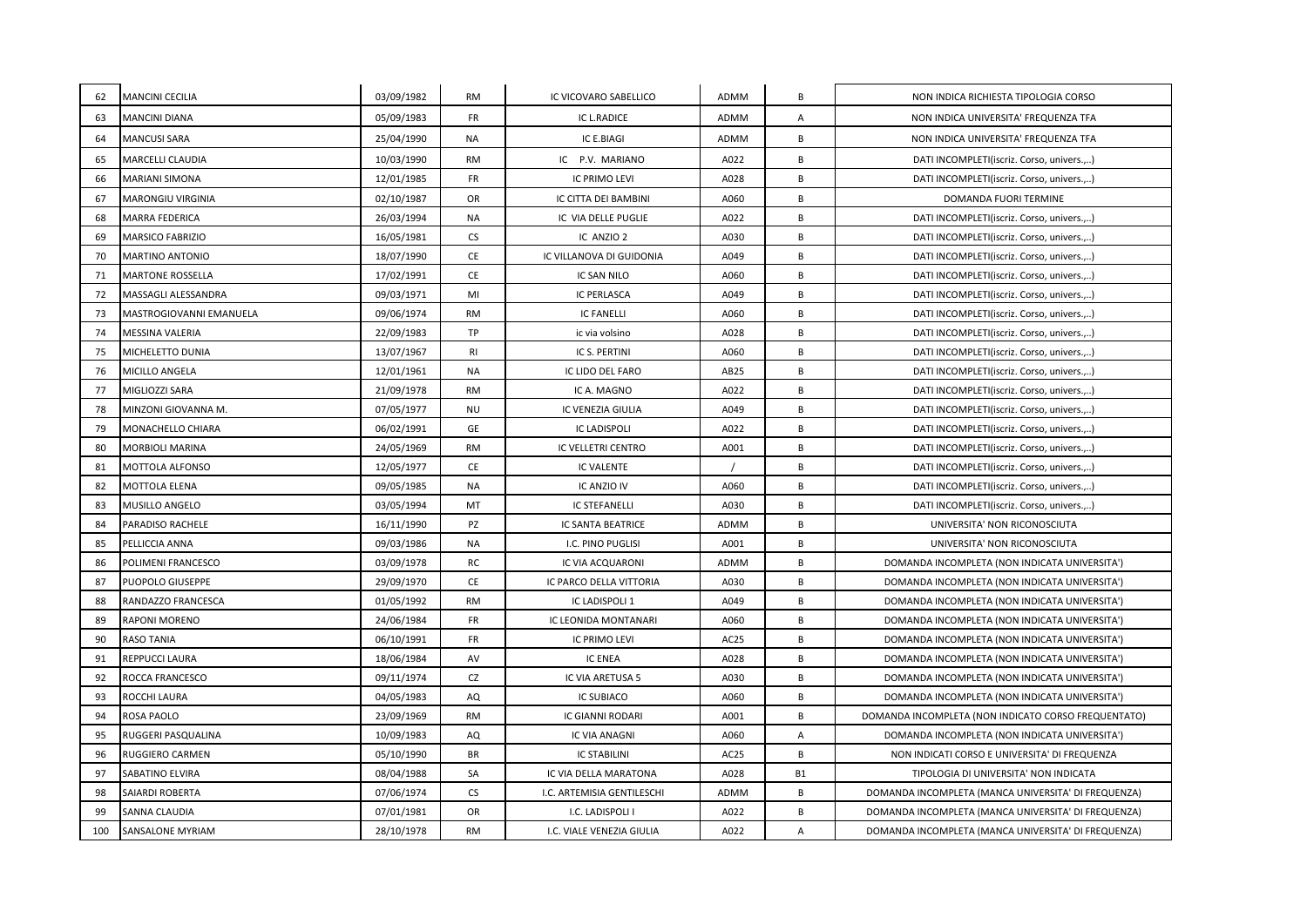| 62  | <b>MANCINI CECILIA</b>  | 03/09/1982 | <b>RM</b> | IC VICOVARO SABELLICO      | ADMM | В         | NON INDICA RICHIESTA TIPOLOGIA CORSO                |
|-----|-------------------------|------------|-----------|----------------------------|------|-----------|-----------------------------------------------------|
| 63  | <b>MANCINI DIANA</b>    | 05/09/1983 | <b>FR</b> | IC L.RADICE                | ADMM | Α         | NON INDICA UNIVERSITA' FREQUENZA TFA                |
| 64  | <b>MANCUSI SARA</b>     | 25/04/1990 | NA        | IC E.BIAGI                 | ADMM | В         | NON INDICA UNIVERSITA' FREQUENZA TFA                |
| 65  | MARCELLI CLAUDIA        | 10/03/1990 | RM        | IC P.V. MARIANO            | A022 | B         | DATI INCOMPLETI(iscriz. Corso, univers.,)           |
| 66  | <b>MARIANI SIMONA</b>   | 12/01/1985 | <b>FR</b> | <b>IC PRIMO LEVI</b>       | A028 | В         | DATI INCOMPLETI(iscriz. Corso, univers.,)           |
| 67  | MARONGIU VIRGINIA       | 02/10/1987 | OR        | IC CITTA DEI BAMBINI       | A060 | В         | DOMANDA FUORI TERMINE                               |
| 68  | <b>MARRA FEDERICA</b>   | 26/03/1994 | <b>NA</b> | IC VIA DELLE PUGLIE        | A022 | B         | DATI INCOMPLETI(iscriz. Corso, univers.,)           |
| 69  | MARSICO FABRIZIO        | 16/05/1981 | CS        | IC ANZIO 2                 | A030 | B         | DATI INCOMPLETI(iscriz. Corso, univers.,)           |
| 70  | MARTINO ANTONIO         | 18/07/1990 | CE        | IC VILLANOVA DI GUIDONIA   | A049 | B         | DATI INCOMPLETI(iscriz. Corso, univers.,)           |
| 71  | <b>MARTONE ROSSELLA</b> | 17/02/1991 | <b>CE</b> | IC SAN NILO                | A060 | B         | DATI INCOMPLETI(iscriz. Corso, univers.,)           |
| 72  | MASSAGLI ALESSANDRA     | 09/03/1971 | MI        | <b>IC PERLASCA</b>         | A049 | B         | DATI INCOMPLETI(iscriz. Corso, univers.,)           |
| 73  | MASTROGIOVANNI EMANUELA | 09/06/1974 | <b>RM</b> | <b>IC FANELLI</b>          | A060 | B         | DATI INCOMPLETI(iscriz. Corso, univers.,)           |
| 74  | MESSINA VALERIA         | 22/09/1983 | <b>TP</b> | ic via volsino             | A028 | B         | DATI INCOMPLETI(iscriz. Corso, univers.,)           |
| 75  | MICHELETTO DUNIA        | 13/07/1967 | <b>RI</b> | IC S. PERTINI              | A060 | B         | DATI INCOMPLETI(iscriz. Corso, univers.,)           |
| 76  | MICILLO ANGELA          | 12/01/1961 | <b>NA</b> | IC LIDO DEL FARO           | AB25 | B         | DATI INCOMPLETI(iscriz. Corso, univers.,)           |
| 77  | MIGLIOZZI SARA          | 21/09/1978 | <b>RM</b> | IC A. MAGNO                | A022 | B         | DATI INCOMPLETI(iscriz. Corso, univers.,)           |
| 78  | MINZONI GIOVANNA M.     | 07/05/1977 | <b>NU</b> | IC VENEZIA GIULIA          | A049 | B         | DATI INCOMPLETI(iscriz. Corso, univers.,)           |
| 79  | MONACHELLO CHIARA       | 06/02/1991 | <b>GE</b> | <b>IC LADISPOLI</b>        | A022 | B         | DATI INCOMPLETI(iscriz. Corso, univers.,)           |
| 80  | <b>MORBIOLI MARINA</b>  | 24/05/1969 | RM        | IC VELLETRI CENTRO         | A001 | B         | DATI INCOMPLETI(iscriz. Corso, univers.,)           |
| 81  | <b>MOTTOLA ALFONSO</b>  | 12/05/1977 | <b>CE</b> | <b>IC VALENTE</b>          |      | B         | DATI INCOMPLETI(iscriz. Corso, univers.,)           |
| 82  | MOTTOLA ELENA           | 09/05/1985 | <b>NA</b> | IC ANZIO IV                | A060 | B         | DATI INCOMPLETI(iscriz. Corso, univers.,)           |
| 83  | MUSILLO ANGELO          | 03/05/1994 | MT        | <b>IC STEFANELLI</b>       | A030 | В         | DATI INCOMPLETI(iscriz. Corso, univers.,)           |
| 84  | PARADISO RACHELE        | 16/11/1990 | <b>PZ</b> | IC SANTA BEATRICE          | ADMM | B         | UNIVERSITA' NON RICONOSCIUTA                        |
| 85  | PELLICCIA ANNA          | 09/03/1986 | <b>NA</b> | I.C. PINO PUGLISI          | A001 | B         | UNIVERSITA' NON RICONOSCIUTA                        |
| 86  | POLIMENI FRANCESCO      | 03/09/1978 | RC        | IC VIA ACQUARONI           | ADMM | В         | DOMANDA INCOMPLETA (NON INDICATA UNIVERSITA')       |
| 87  | PUOPOLO GIUSEPPE        | 29/09/1970 | CE        | IC PARCO DELLA VITTORIA    | A030 | B         | DOMANDA INCOMPLETA (NON INDICATA UNIVERSITA')       |
| 88  | RANDAZZO FRANCESCA      | 01/05/1992 | <b>RM</b> | IC LADISPOLI 1             | A049 | В         | DOMANDA INCOMPLETA (NON INDICATA UNIVERSITA')       |
| 89  | RAPONI MORENO           | 24/06/1984 | <b>FR</b> | IC LEONIDA MONTANARI       | A060 | B         | DOMANDA INCOMPLETA (NON INDICATA UNIVERSITA')       |
| 90  | RASO TANIA              | 06/10/1991 | <b>FR</b> | IC PRIMO LEVI              | AC25 | В         | DOMANDA INCOMPLETA (NON INDICATA UNIVERSITA')       |
| 91  | REPPUCCI LAURA          | 18/06/1984 | AV        | <b>IC ENEA</b>             | A028 | B         | DOMANDA INCOMPLETA (NON INDICATA UNIVERSITA')       |
| 92  | ROCCA FRANCESCO         | 09/11/1974 | CZ        | IC VIA ARETUSA 5           | A030 | В         | DOMANDA INCOMPLETA (NON INDICATA UNIVERSITA')       |
| 93  | ROCCHI LAURA            | 04/05/1983 | AQ        | <b>IC SUBIACO</b>          | A060 | В         | DOMANDA INCOMPLETA (NON INDICATA UNIVERSITA')       |
| 94  | ROSA PAOLO              | 23/09/1969 | <b>RM</b> | <b>IC GIANNI RODARI</b>    | A001 | B         | DOMANDA INCOMPLETA (NON INDICATO CORSO FREQUENTATO) |
| 95  | RUGGERI PASQUALINA      | 10/09/1983 | AQ        | IC VIA ANAGNI              | A060 | Α         | DOMANDA INCOMPLETA (NON INDICATA UNIVERSITA')       |
| 96  | RUGGIERO CARMEN         | 05/10/1990 | <b>BR</b> | <b>IC STABILINI</b>        | AC25 | B         | NON INDICATI CORSO E UNIVERSITA' DI FREQUENZA       |
| 97  | SABATINO ELVIRA         | 08/04/1988 | SA        | IC VIA DELLA MARATONA      | A028 | <b>B1</b> | TIPOLOGIA DI UNIVERSITA' NON INDICATA               |
| 98  | SAIARDI ROBERTA         | 07/06/1974 | CS        | I.C. ARTEMISIA GENTILESCHI | ADMM | В         | DOMANDA INCOMPLETA (MANCA UNIVERSITA' DI FREQUENZA) |
| 99  | SANNA CLAUDIA           | 07/01/1981 | OR        | I.C. LADISPOLI I           | A022 | B         | DOMANDA INCOMPLETA (MANCA UNIVERSITA' DI FREQUENZA) |
| 100 | SANSALONE MYRIAM        | 28/10/1978 | <b>RM</b> | I.C. VIALE VENEZIA GIULIA  | A022 | Α         | DOMANDA INCOMPLETA (MANCA UNIVERSITA' DI FREQUENZA) |